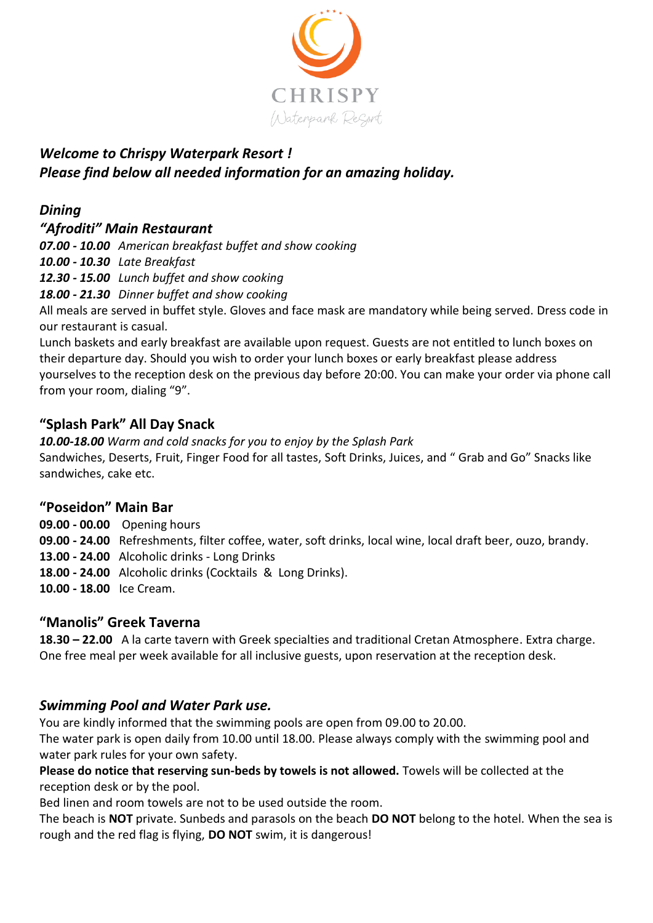

# *Welcome to Chrispy Waterpark Resort ! Please find below all needed information for an amazing holiday.*

# *Dining*

# *"Afroditi" Main Restaurant*

*07.00 - 10.00 American breakfast buffet and show cooking*

*10.00 - 10.30 Late Breakfast*

*12.30 - 15.00 Lunch buffet and show cooking*

*18.00 - 21.30 Dinner buffet and show cooking* 

All meals are served in buffet style. Gloves and face mask are mandatory while being served. Dress code in our restaurant is casual.

Lunch baskets and early breakfast are available upon request. Guests are not entitled to lunch boxes on their departure day. Should you wish to order your lunch boxes or early breakfast please address yourselves to the reception desk on the previous day before 20:00. You can make your order via phone call from your room, dialing "9".

# **"Splash Park" All Day Snack**

*10.00-18.00 Warm and cold snacks for you to enjoy by the Splash Park*  Sandwiches, Deserts, Fruit, Finger Food for all tastes, Soft Drinks, Juices, and " Grab and Go" Snacks like sandwiches, cake etc.

## **"Poseidon" Main Bar**

**09.00 - 00.00** Opening hours

**09.00 - 24.00** Refreshments, filter coffee, water, soft drinks, local wine, local draft beer, ouzo, brandy.

**13.00 - 24.00** Alcoholic drinks - Long Drinks

**18.00 - 24.00** Alcoholic drinks (Cocktails & Long Drinks).

**10.00 - 18.00** Ice Cream.

## **"Manolis" Greek Taverna**

**18.30 – 22.00** A la carte tavern with Greek specialties and traditional Cretan Atmosphere. Extra charge. One free meal per week available for all inclusive guests, upon reservation at the reception desk.

# *Swimming Pool and Water Park use.*

You are kindly informed that the swimming pools are open from 09.00 to 20.00.

The water park is open daily from 10.00 until 18.00. Please always comply with the swimming pool and water park rules for your own safety.

**Please do notice that reserving sun-beds by towels is not allowed.** Towels will be collected at the reception desk or by the pool.

Bed linen and room towels are not to be used outside the room.

The beach is **NOT** private. Sunbeds and parasols on the beach **DO NOT** belong to the hotel. When the sea is rough and the red flag is flying, **DO NOT** swim, it is dangerous!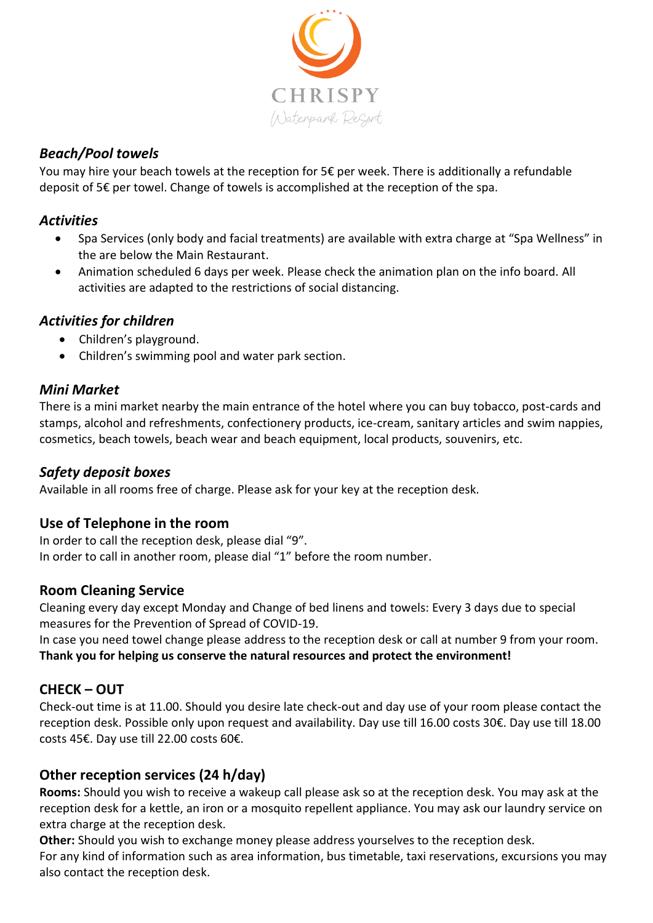

#### *Beach/Pool towels*

You may hire your beach towels at the reception for  $5 \epsilon$  per week. There is additionally a refundable deposit of 5€ per towel. Change of towels is accomplished at the reception of the spa.

#### *Activities*

- Spa Services (only body and facial treatments) are available with extra charge at "Spa Wellness" in the are below the Main Restaurant.
- Animation scheduled 6 days per week. Please check the animation plan on the info board. All activities are adapted to the restrictions of social distancing.

#### *Activities for children*

- Children's playground.
- Children's swimming pool and water park section.

#### *Mini Market*

There is a mini market nearby the main entrance of the hotel where you can buy tobacco, post-cards and stamps, alcohol and refreshments, confectionery products, ice-cream, sanitary articles and swim nappies, cosmetics, beach towels, beach wear and beach equipment, local products, souvenirs, etc.

## *Safety deposit boxes*

Available in all rooms free of charge. Please ask for your key at the reception desk.

## **Use of Telephone in the room**

In order to call the reception desk, please dial "9". In order to call in another room, please dial "1" before the room number.

#### **Room Cleaning Service**

Cleaning every day except Monday and Change of bed linens and towels: Every 3 days due to special measures for the Prevention of Spread of COVID-19.

In case you need towel change please address to the reception desk or call at number 9 from your room. **Thank you for helping us conserve the natural resources and protect the environment!**

## **CHECK – OUT**

Check-out time is at 11.00. Should you desire late check-out and day use of your room please contact the reception desk. Possible only upon request and availability. Day use till 16.00 costs 30€. Day use till 18.00 costs 45€. Day use till 22.00 costs 60€.

## **Other reception services (24 h/day)**

**Rooms:** Should you wish to receive a wakeup call please ask so at the reception desk. You may ask at the reception desk for a kettle, an iron or a mosquito repellent appliance. You may ask our laundry service on extra charge at the reception desk.

**Other:** Should you wish to exchange money please address yourselves to the reception desk. For any kind of information such as area information, bus timetable, taxi reservations, excursions you may also contact the reception desk.